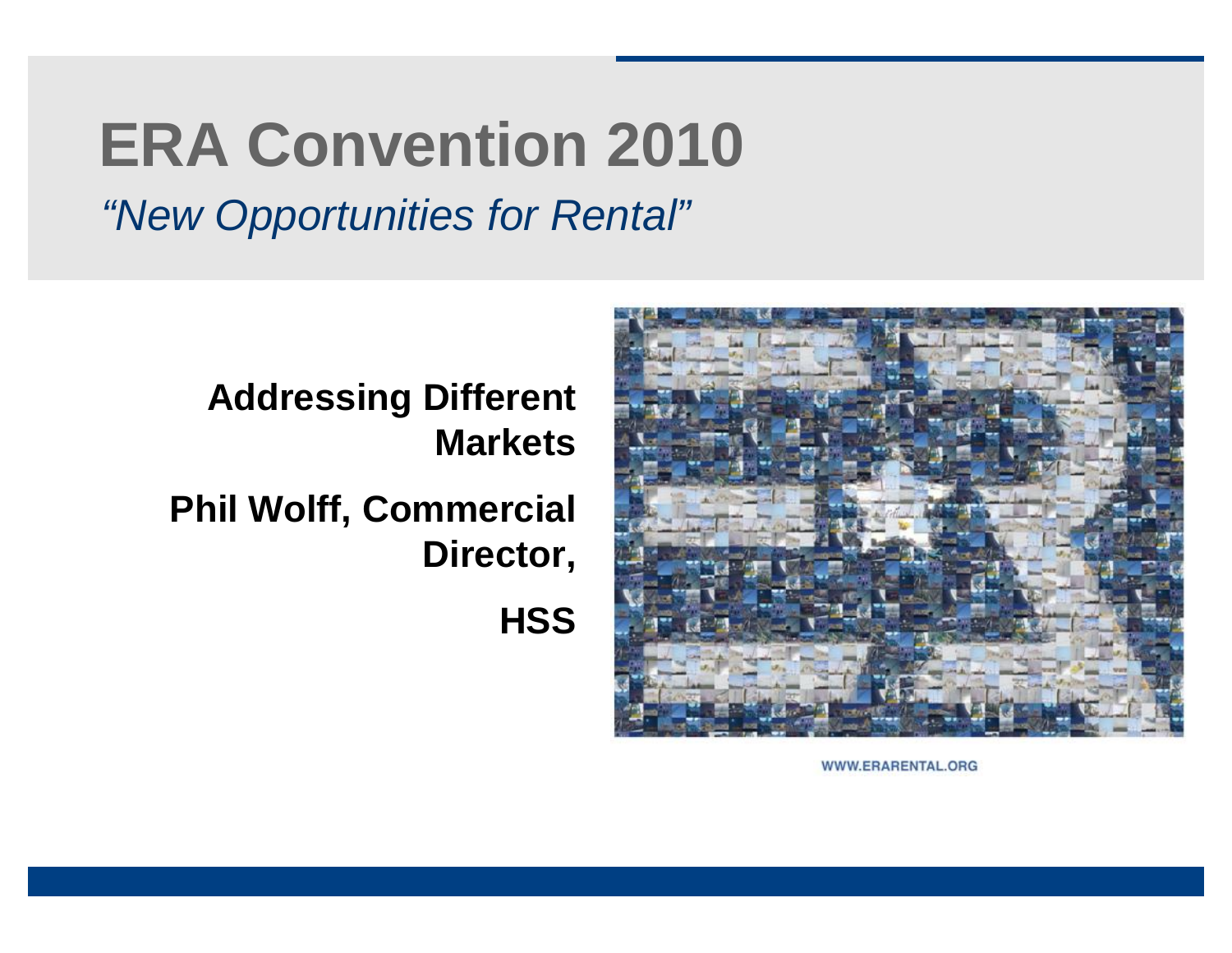# **ERA Convention 2010**

*"New Opportunities for Rental"*



**Addressing Different Markets**

**Phil Wolff, Commercial Director,** 

**HSS**

WWW.ERARENTAL.ORG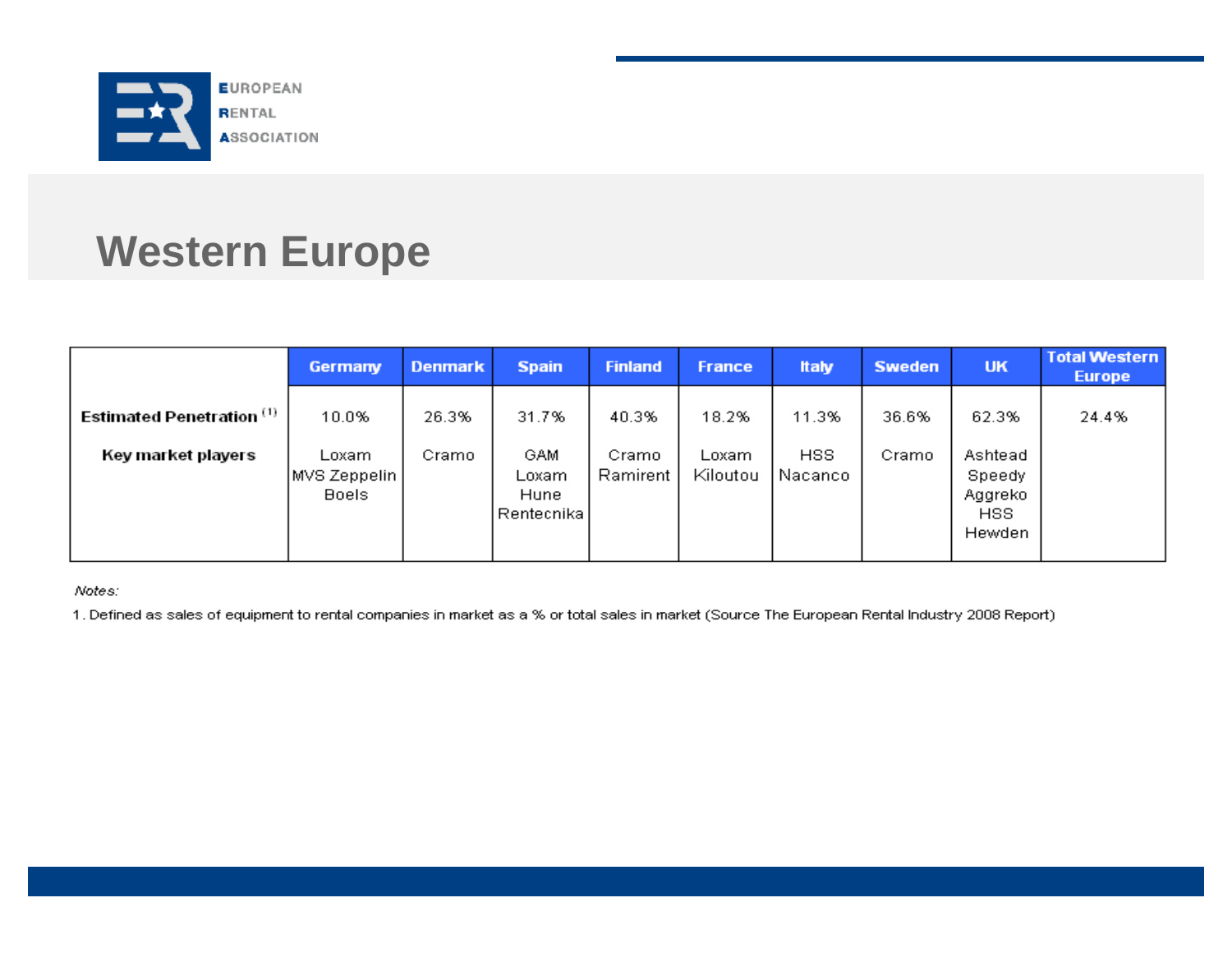

## **Western Europe**

|                                      | <b>Germany</b>                           | <b>Denmark</b> | <b>Spain</b>                               | <b>Finland</b>    | <b>France</b>      | <b>Italy</b>      | <b>Sweden</b> | <b>UK</b>                                            | <b>Total Western</b><br><b>Europe</b> |
|--------------------------------------|------------------------------------------|----------------|--------------------------------------------|-------------------|--------------------|-------------------|---------------|------------------------------------------------------|---------------------------------------|
| Estimated Penetration <sup>(1)</sup> | 10.0%                                    | 26.3%          | 31.7%                                      | 40.3%             | 18.2%              | 11.3%             | 36.6%         | 62.3%                                                | 24.4%                                 |
| Key market players                   | Loxam.<br>MVS Zeppelin /<br><b>Boels</b> | Cramo.         | <b>GAM</b><br>Loxam<br>Hune<br> Rentecnika | Cramo<br>Ramirent | Loxam.<br>Kiloutou | HSS.<br>, Nacanco | Cramo         | Ashtead<br>Speedy<br>Aggreko<br><b>HSS</b><br>Hewden |                                       |

Notes:

1. Defined as sales of equipment to rental companies in market as a % or total sales in market (Source The European Rental Industry 2008 Report)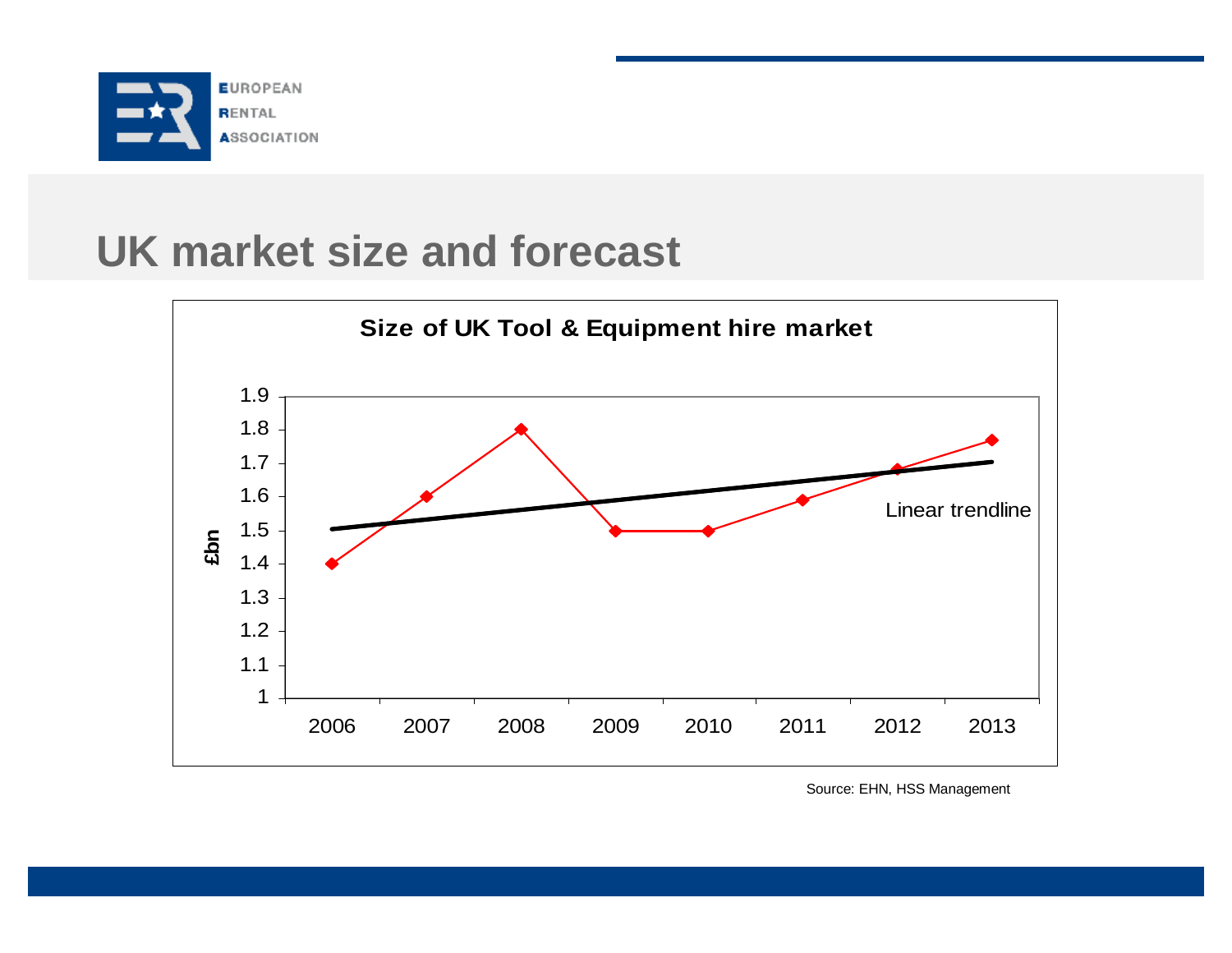

#### **UK market size and forecast**



Source: EHN, HSS Management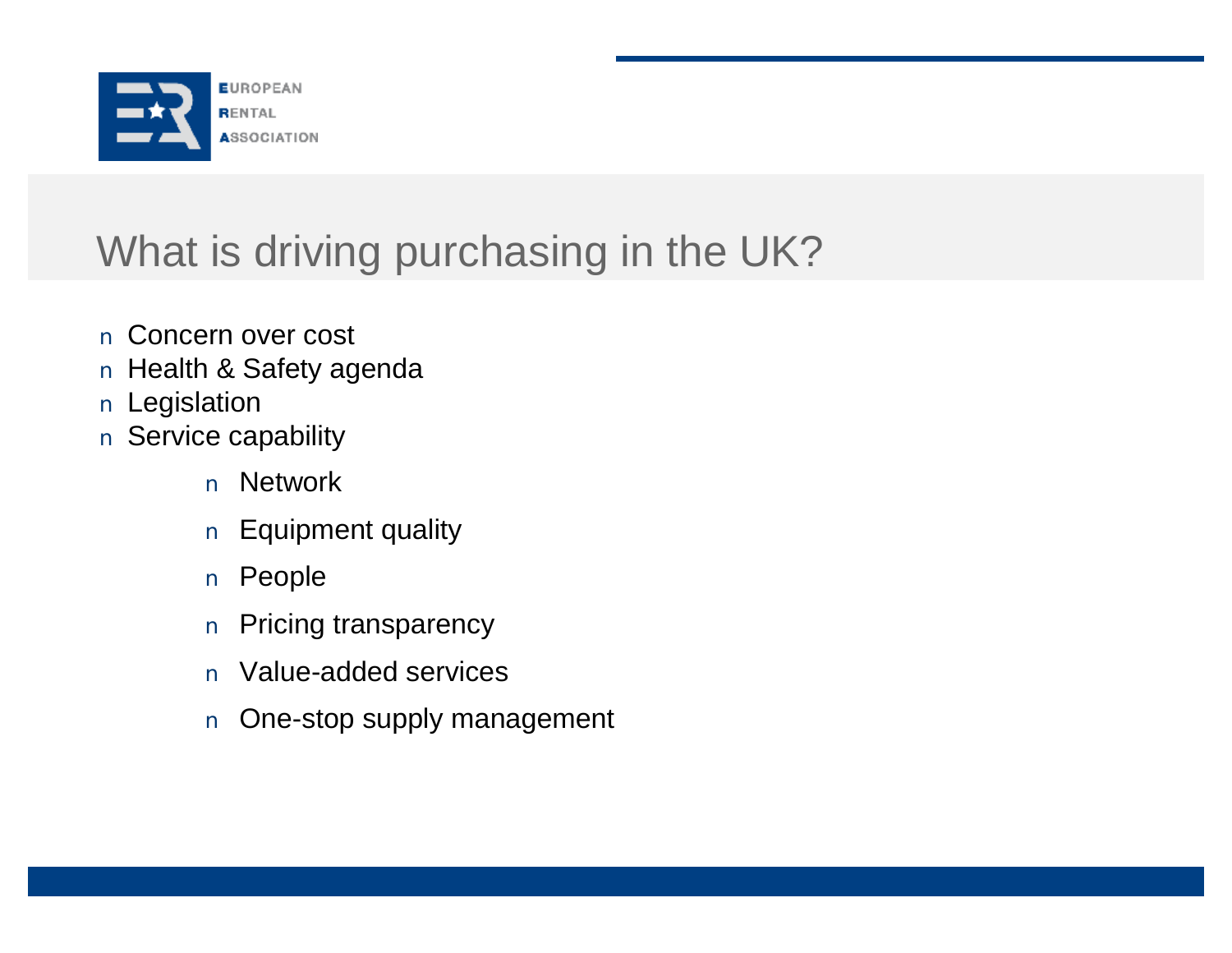

# What is driving purchasing in the UK?

- n Concern over cost
- n Health & Safety agenda
- n Legislation
- n Service capability
	- n Network
	- n Equipment quality
	- n People
	- n Pricing transparency
	- n Value-added services
	- n One-stop supply management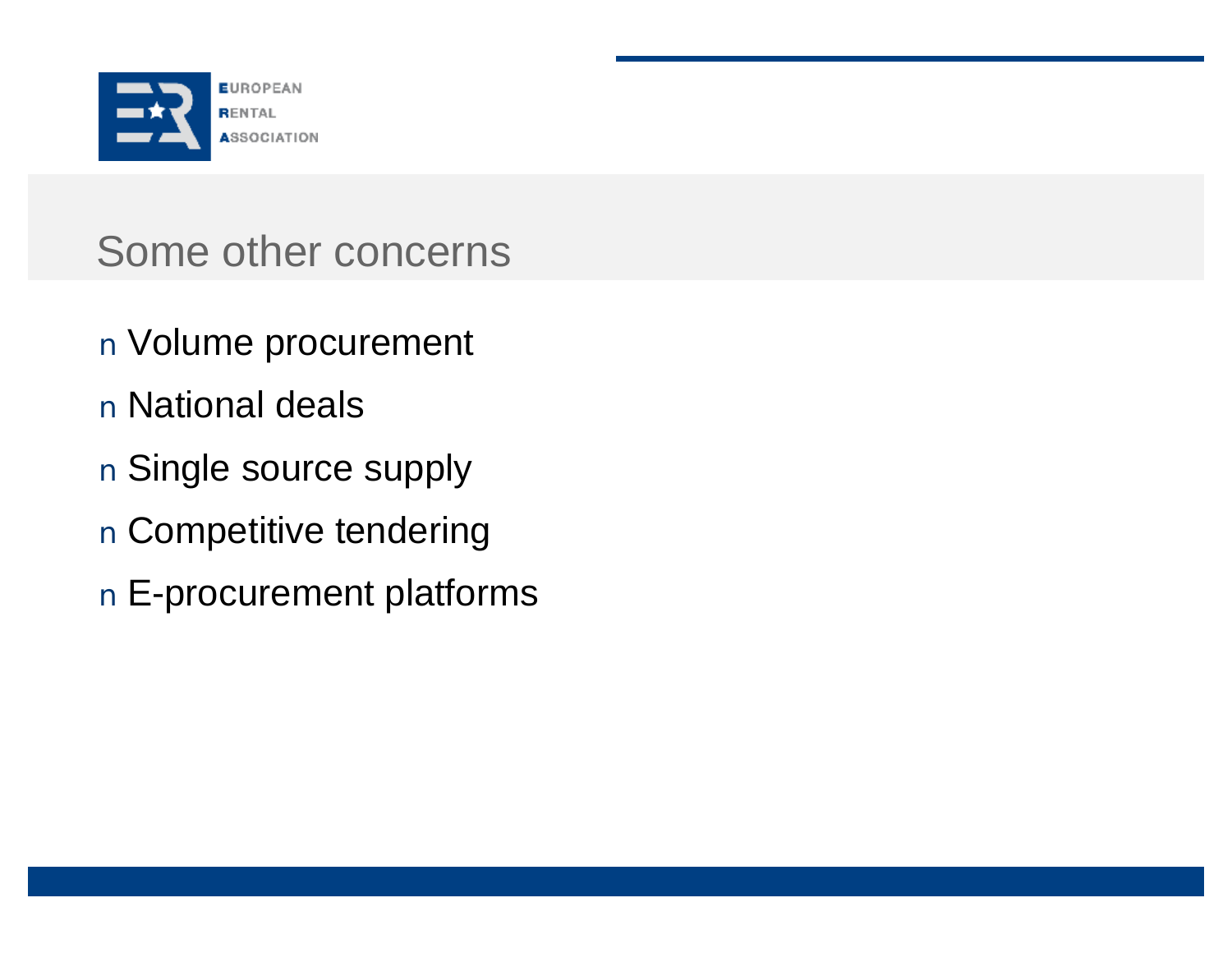

# Some other concerns

- n Volume procurement
- n National deals
- n Single source supply
- n Competitive tendering
- n E-procurement platforms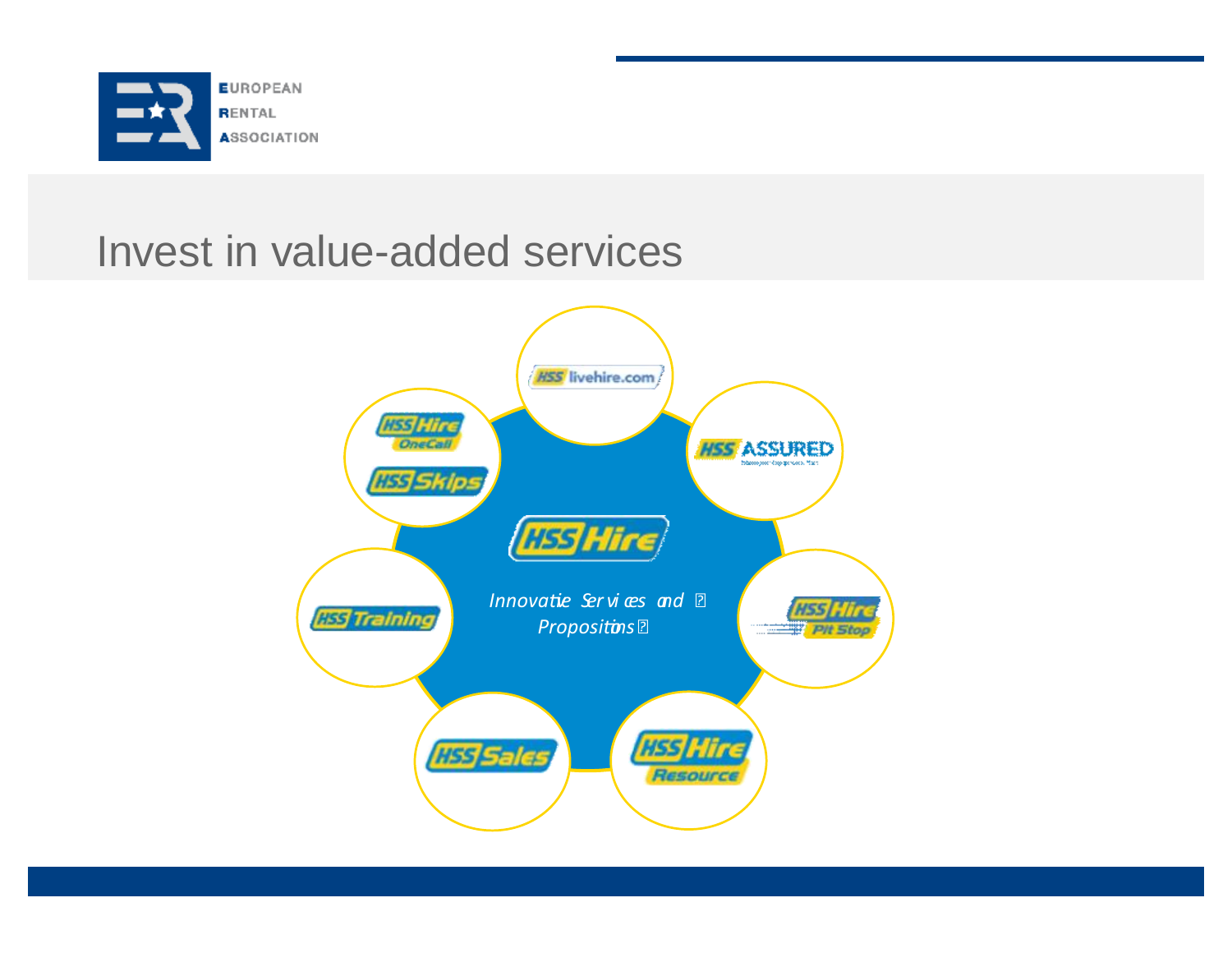

# Invest in value-added services

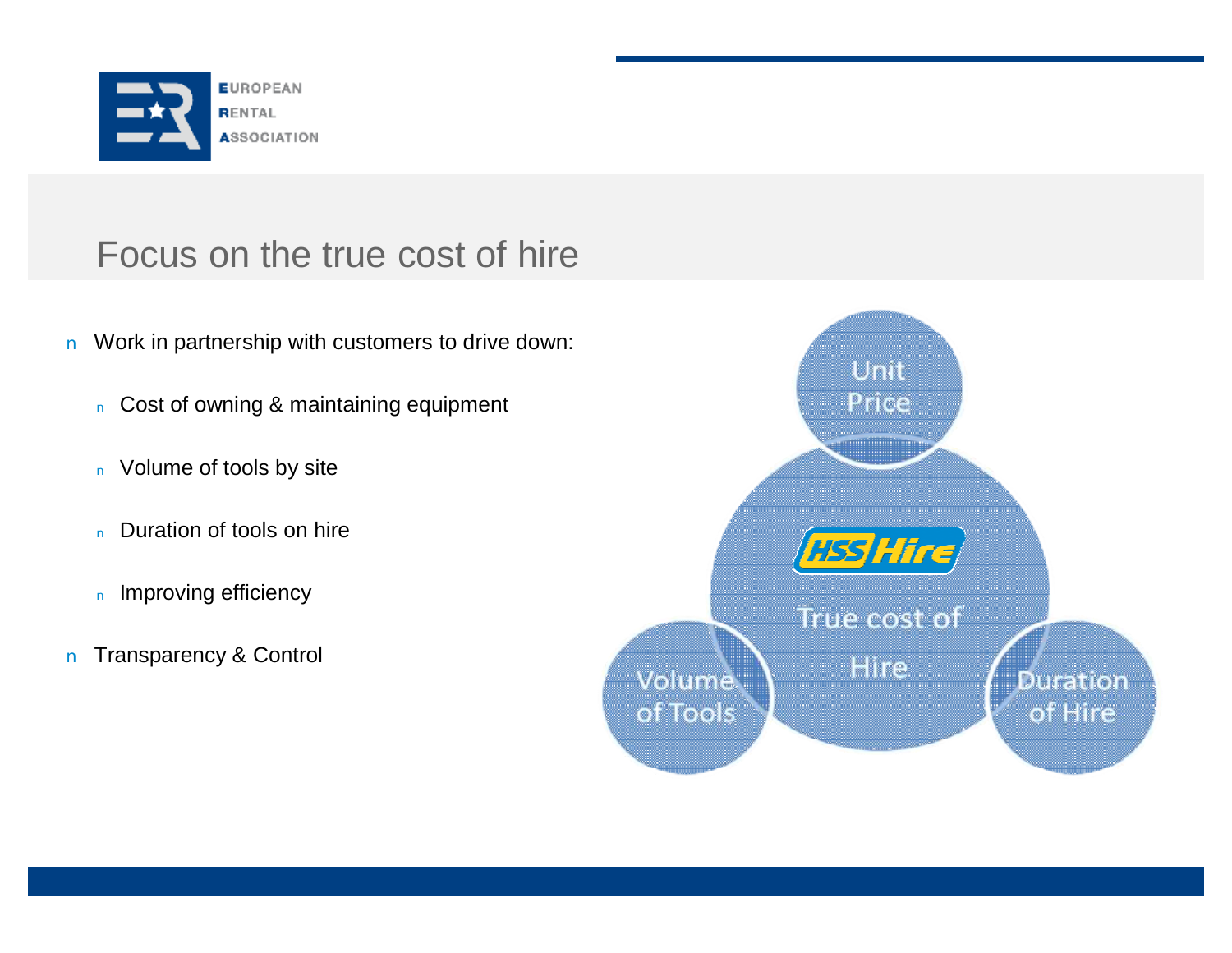

#### Focus on the true cost of hire

- n Work in partnership with customers to drive down:
	- <sup>n</sup> Cost of owning & maintaining equipment
	- n Volume of tools by site
	- n Duration of tools on hire
	- n Improving efficiency
- n Transparency & Control